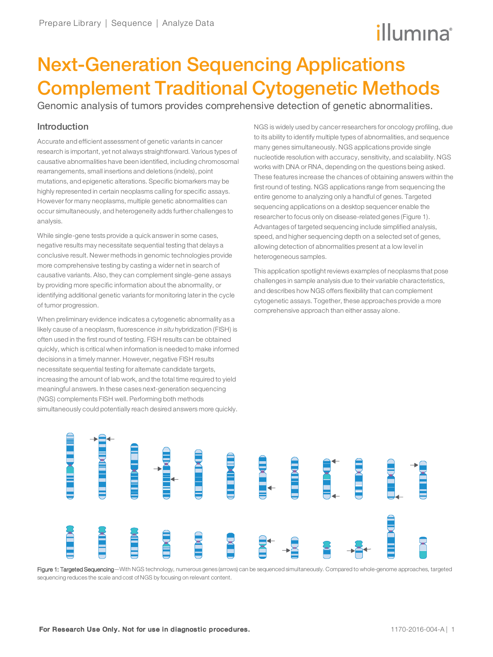## illumına

### Next-Generation Sequencing Applications Complement Traditional Cytogenetic Methods

Genomic analysis of tumors provides comprehensive detection of genetic abnormalities.

#### **Introduction**

Accurate and efficient assessment of genetic variants in cancer research is important, yet not always straightforward. Various types of causative abnormalities have been identified, including chromosomal rearrangements, small insertions and deletions (indels), point mutations, and epigenetic alterations. Specific biomarkers may be highly represented in certain neoplasms calling for specific assays. However for many neoplasms, multiple genetic abnormalities can occur simultaneously, and heterogeneity adds further challenges to analysis.

While single-gene tests provide a quick answer in some cases, negative results may necessitate sequential testing that delays a conclusive result. Newer methods in genomic technologies provide more comprehensive testing by casting a wider net in search of causative variants. Also, they can complement single-gene assays by providing more specific information about the abnormality, or identifying additional genetic variants for monitoring later in the cycle of tumor progression.

When preliminary evidence indicates a cytogenetic abnormality as a likely cause of a neoplasm, fluorescence in situ hybridization (FISH) is often used in the first round of testing. FISH results can be obtained quickly, which is critical when information is needed to make informed decisions in a timely manner. However, negative FISH results necessitate sequential testing for alternate candidate targets, increasing the amount of lab work, and the total time required to yield meaningful answers. In these cases next-generation sequencing (NGS) complements FISH well. Performing both methods simultaneously could potentially reach desired answers more quickly.

NGS is widely used by cancer researchers for oncology profiling, due to its ability to identify multiple types of abnormalities, and sequence many genes simultaneously. NGS applications provide single nucleotide resolution with accuracy, sensitivity, and scalability. NGS works with DNA or RNA, depending on the questions being asked. These features increase the chances of obtaining answers within the first round of testing. NGS applications range from sequencing the entire genome to analyzing only a handful of genes. Targeted sequencing applications on a desktop sequencer enable the researcher to focus only on disease-related genes (Figure 1). Advantages of targeted sequencing include simplified analysis, speed, and higher sequencing depth on a selected set of genes, allowing detection of abnormalities present at a low level in heterogeneous samples.

This application spotlight reviews examples of neoplasms that pose challenges in sample analysis due to their variable characteristics, and describes how NGS offers flexibility that can complement cytogenetic assays. Together, these approaches provide a more comprehensive approach than either assay alone.



Figure 1: Targeted Sequencing-With NGS technology, numerous genes (arrows) can be sequenced simultaneously. Compared to whole-genome approaches, targeted sequencing reduces the scale and cost of NGS by focusing on relevant content.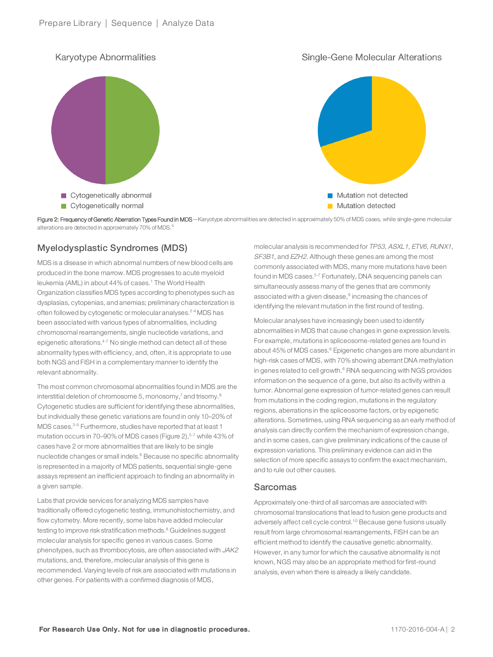#### Karyotype Abnormalities







Figure 2: Frequency of Genetic Aberration Types Found in MDS-Karyotype abnormalities are detected in approximately 50% of MDS cases, while single-gene molecular alterations are detected in approximately 70% of MDS.<sup>6</sup>

#### Myelodysplastic Syndromes (MDS)

MDS is a disease in which abnormal numbers of new blood cells are produced in the bone marrow. MDS progresses to acute myeloid leukemia (AML) in about 44% of cases.<sup>1</sup> The World Health Organization classifies MDS types according to phenotypes such as dysplasias, cytopenias, and anemias; preliminary characterization is often followed by cytogenetic or molecular analyses.2-4 MDS has been associated with various types of abnormalities, including chromosomal rearrangements, single nucleotide variations, and epigenetic alterations.<sup>4-7</sup> No single method can detect all of these abnormality types with efficiency, and, often, it is appropriate to use both NGS and FISH in a complementary manner to identify the relevant abnormality.

The most common chromosomal abnormalities found in MDS are the interstitial deletion of chromosome 5, monosomy,<sup>7</sup> and trisomy.<sup>8</sup> Cytogenetic studies are sufficient for identifying these abnormalities, but individually these genetic variations are found in only 10–20% of MDS cases.3-5 Furthermore, studies have reported that at least 1 mutation occurs in 70–90% of MDS cases (Figure 2),<sup>5-7</sup> while 43% of cases have 2 or more abnormalities that are likely to be single nucleotide changes or small indels.<sup>6</sup> Because no specific abnormality is represented in a majority of MDS patients, sequential single-gene assays represent an inefficient approach to finding an abnormality in a given sample.

Labs that provide services for analyzing MDS samples have traditionally offered cytogenetic testing, immunohistochemistry, and flow cytometry. More recently, some labs have added molecular testing to improve risk stratification methods.<sup>8</sup> Guidelines suggest molecular analysis for specific genes in various cases. Some phenotypes, such as thrombocytosis, are often associated with JAK2 mutations, and, therefore, molecular analysis of this gene is recommended. Varying levels of risk are associated with mutations in other genes. For patients with a confirmed diagnosis of MDS,

molecular analysis is recommended for TP53, ASXL1, ETV6, RUNX1, SF3B1, and EZH2. Although these genes are among the most commonly associated with MDS, many more mutations have been found in MDS cases.5-7 Fortunately, DNA sequencing panels can simultaneously assess many of the genes that are commonly associated with a given disease,<sup>9</sup> increasing the chances of identifying the relevant mutation in the first round of testing.

Molecular analyses have increasingly been used to identify abnormalities in MDS that cause changes in gene expression levels. For example, mutations in spliceosome-related genes are found in about 45% of MDS cases.<sup>6</sup> Epigenetic changes are more abundant in high-risk cases of MDS, with 70% showing aberrant DNA methylation in genes related to cell growth.<sup>6</sup> RNA sequencing with NGS provides information on the sequence of a gene, but also its activity within a tumor. Abnormal gene expression of tumor-related genes can result from mutations in the coding region, mutations in the regulatory regions, aberrations in the spliceosome factors, or by epigenetic alterations. Sometimes, using RNA sequencing as an early method of analysis can directly confirm the mechanism of expression change, and in some cases, can give preliminary indications of the cause of expression variations. This preliminary evidence can aid in the selection of more specific assays to confirm the exact mechanism, and to rule out other causes.

#### Sarcomas

Approximately one-third of all sarcomas are associated with chromosomal translocations that lead to fusion gene products and adversely affect cell cycle control.<sup>10</sup> Because gene fusions usually result from large chromosomal rearrangements, FISH can be an efficient method to identify the causative genetic abnormality. However, in any tumor for which the causative abnormality is not known, NGS may also be an appropriate method for first-round analysis, even when there is already a likely candidate.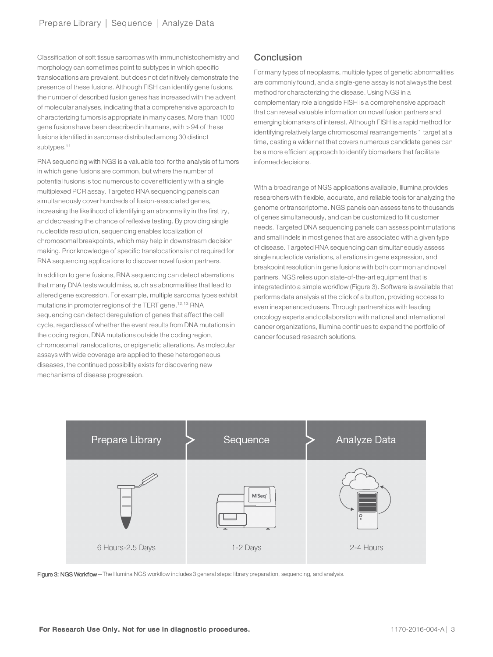Classification of soft tissue sarcomas with immunohistochemistry and morphology can sometimes point to subtypes in which specific translocations are prevalent, but does not definitively demonstrate the presence of these fusions. Although FISH can identify gene fusions, the number of described fusion genes has increased with the advent of molecular analyses, indicating that a comprehensive approach to characterizing tumors is appropriate in many cases. More than 1000 gene fusions have been described in humans, with > 94 of these fusions identified in sarcomas distributed among 30 distinct subtypes.<sup>11</sup>

RNA sequencing with NGS is a valuable tool for the analysis of tumors in which gene fusions are common, but where the number of potential fusions is too numerous to cover efficiently with a single multiplexed PCR assay. Targeted RNA sequencing panels can simultaneously cover hundreds of fusion-associated genes, increasing the likelihood of identifying an abnormality in the first try, and decreasing the chance of reflexive testing. By providing single nucleotide resolution, sequencing enables localization of chromosomal breakpoints, which may help in downstream decision making. Prior knowledge of specific translocations is not required for RNA sequencing applications to discover novel fusion partners.

In addition to gene fusions, RNA sequencing can detect aberrations that many DNA tests would miss, such as abnormalities that lead to altered gene expression. For example, multiple sarcoma types exhibit mutations in promoter regions of the TERT gene.<sup>12,13</sup> RNA sequencing can detect deregulation of genes that affect the cell cycle, regardless of whether the event results from DNA mutations in the coding region, DNA mutations outside the coding region, chromosomal translocations, or epigenetic alterations. As molecular assays with wide coverage are applied to these heterogeneous diseases, the continued possibility exists for discovering new mechanisms of disease progression.

#### Conclusion

For many types of neoplasms, multiple types of genetic abnormalities are commonly found, and a single-gene assay is not always the best method for characterizing the disease. Using NGS in a complementary role alongside FISH is a comprehensive approach that can reveal valuable information on novel fusion partners and emerging biomarkers of interest. Although FISH is a rapid method for identifying relatively large chromosomal rearrangements 1 target at a time, casting a wider net that covers numerous candidate genes can be a more efficient approach to identify biomarkers that facilitate informed decisions.

With a broad range of NGS applications available, Illumina provides researchers with flexible, accurate, and reliable tools for analyzing the genome or transcriptome. NGS panels can assess tens to thousands of genes simultaneously, and can be customized to fit customer needs. Targeted DNA sequencing panels can assess point mutations and small indels in most genes that are associated with a given type of disease. Targeted RNA sequencing can simultaneously assess single nucleotide variations, alterations in gene expression, and breakpoint resolution in gene fusions with both common and novel partners. NGS relies upon state-of-the-art equipment that is integrated into a simple workflow (Figure 3). Software is available that performs data analysis at the click of a button, providing access to even inexperienced users. Through partnerships with leading oncology experts and collaboration with national and international cancer organizations, Illumina continues to expand the portfolio of cancer focused research solutions.